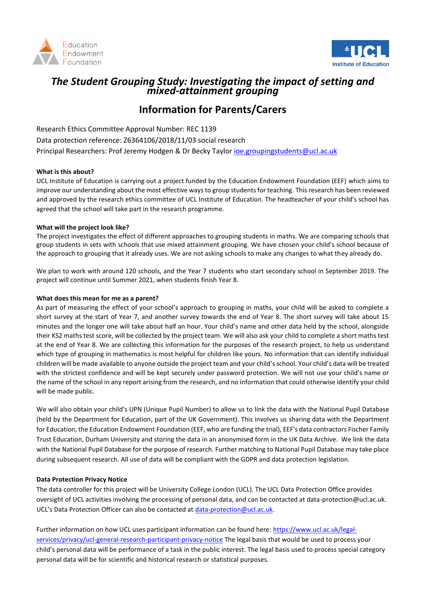



## *The Student Grouping Study: Investigating the impact of setting and mixed-attainment grouping*

# **Information for Parents/Carers**

Research Ethics Committee Approval Number: REC 1139 Data protection reference: Z6364106/2018/11/03 social research Principal Researchers: Prof Jeremy Hodgen & Dr Becky Taylor [ioe.groupingstudents@ucl.ac.uk](mailto:ioe.groupingstudents@ucl.ac.uk)

#### **What is this about?**

UCL Institute of Education is carrying out a project funded by the Education Endowment Foundation (EEF) which aims to improve our understanding about the most effective ways to group students for teaching. This research has been reviewed and approved by the research ethics committee of UCL Institute of Education. The headteacher of your child's school has agreed that the school will take part in the research programme.

#### **What will the project look like?**

The project investigates the effect of different approaches to grouping students in maths. We are comparing schools that group students in sets with schools that use mixed attainment grouping. We have chosen your child's school because of the approach to grouping that it already uses. We are not asking schools to make any changes to what they already do.

We plan to work with around 120 schools, and the Year 7 students who start secondary school in September 2019. The project will continue until Summer 2021, when students finish Year 8.

#### **What does this mean for me as a parent?**

As part of measuring the effect of your school's approach to grouping in maths, your child will be asked to complete a short survey at the start of Year 7, and another survey towards the end of Year 8. The short survey will take about 15 minutes and the longer one will take about half an hour. Your child's name and other data held by the school, alongside their KS2 maths test score, will be collected by the project team. We will also ask your child to complete a short maths test at the end of Year 8. We are collecting this information for the purposes of the research project, to help us understand which type of grouping in mathematics is most helpful for children like yours. No information that can identify individual children will be made available to anyone outside the project team and your child's school. Your child's data will be treated with the strictest confidence and will be kept securely under password protection. We will not use your child's name or the name of the school in any report arising from the research, and no information that could otherwise identify your child will be made public.

We will also obtain your child's UPN (Unique Pupil Number) to allow us to link the data with the National Pupil Database (held by the Department for Education, part of the UK Government). This involves us sharing data with the Department for Education, the Education Endowment Foundation (EEF, who are funding the trial), EEF's data contractors Fischer Family Trust Education, Durham University and storing the data in an anonymised form in the UK Data Archive. We link the data with the National Pupil Database for the purpose of research. Further matching to National Pupil Database may take place during subsequent research. All use of data will be compliant with the GDPR and data protection legislation.

#### **Data Protection Privacy Notice**

The data controller for this project will be University College London (UCL). The UCL Data Protection Office provides oversight of UCL activities involving the processing of personal data, and can be contacted at data-protection@ucl.ac.uk. UCL's Data Protection Officer can also be contacted at [data-protection@ucl.ac.uk.](mailto:data-protection@ucl.ac.uk)

Further information on how UCL uses participant information can be found here[: https://www.ucl.ac.uk/legal](https://www.ucl.ac.uk/legal-services/privacy/ucl-general-research-participant-privacy-notice)[services/privacy/ucl-general-research-participant-privacy-notice](https://www.ucl.ac.uk/legal-services/privacy/ucl-general-research-participant-privacy-notice) The legal basis that would be used to process your child's personal data will be performance of a task in the public interest. The legal basis used to process special category personal data will be for scientific and historical research or statistical purposes.